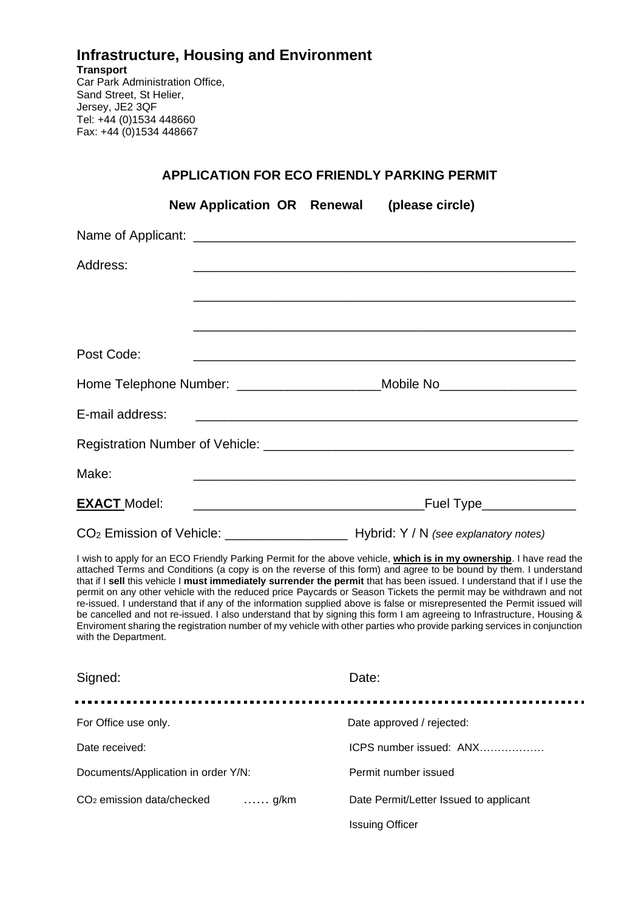## **Infrastructure, Housing and Environment Transport**  Car Park Administration Office, Sand Street, St Helier, Jersey, JE2 3QF Tel: +44 (0)1534 448660

Fax: +44 (0)1534 448667

## **APPLICATION FOR ECO FRIENDLY PARKING PERMIT**

|                     | New Application OR Renewal (please circle) |                                                                                                                                                                                                                                                                                                                                                                   |
|---------------------|--------------------------------------------|-------------------------------------------------------------------------------------------------------------------------------------------------------------------------------------------------------------------------------------------------------------------------------------------------------------------------------------------------------------------|
|                     |                                            |                                                                                                                                                                                                                                                                                                                                                                   |
| Address:            |                                            |                                                                                                                                                                                                                                                                                                                                                                   |
|                     |                                            |                                                                                                                                                                                                                                                                                                                                                                   |
|                     |                                            |                                                                                                                                                                                                                                                                                                                                                                   |
| Post Code:          |                                            |                                                                                                                                                                                                                                                                                                                                                                   |
|                     |                                            | Home Telephone Number: ________________________Mobile No________________________                                                                                                                                                                                                                                                                                  |
| E-mail address:     |                                            |                                                                                                                                                                                                                                                                                                                                                                   |
|                     |                                            |                                                                                                                                                                                                                                                                                                                                                                   |
| Make:               |                                            |                                                                                                                                                                                                                                                                                                                                                                   |
| <b>EXACT Model:</b> |                                            |                                                                                                                                                                                                                                                                                                                                                                   |
|                     |                                            |                                                                                                                                                                                                                                                                                                                                                                   |
|                     |                                            | I wish to apply for an ECO Friendly Parking Permit for the above vehicle, which is in my ownership. I have read the<br>attached Terms and Conditions (a copy is on the reverse of this form) and agree to be bound by them. I understand<br>that if I gell this vahigle Lusses insmession assumed that normit that has been journal. Lunderstand that if Luga the |

attached Terms and Conditions (a copy is on the reverse of this form) and agree to be bound by them. I understand that if I **sell** this vehicle I **must immediately surrender the permit** that has been issued. I understand that if I use the permit on any other vehicle with the reduced price Paycards or Season Tickets the permit may be withdrawn and not re-issued. I understand that if any of the information supplied above is false or misrepresented the Permit issued will be cancelled and not re-issued. I also understand that by signing this form I am agreeing to Infrastructure, Housing & Enviroment sharing the registration number of my vehicle with other parties who provide parking services in conjunction with the Department.

| Signed:                                                  | Date:                                  |
|----------------------------------------------------------|----------------------------------------|
| For Office use only.                                     | Date approved / rejected:              |
| Date received:                                           | ICPS number issued: ANX                |
| Documents/Application in order Y/N:                      | Permit number issued                   |
| CO <sub>2</sub> emission data/checked<br>$\ldots$ . g/km | Date Permit/Letter Issued to applicant |
|                                                          | <b>Issuing Officer</b>                 |